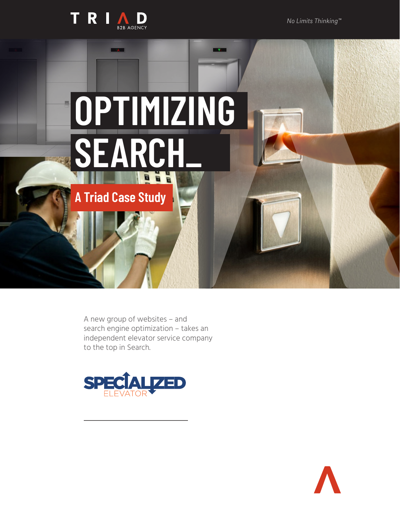

# **OPTIMIZING SEARCH\_ A Triad Case Study**

**BAY AND** 

A new group of websites – and search engine optimization – takes an independent elevator service company to the top in Search.



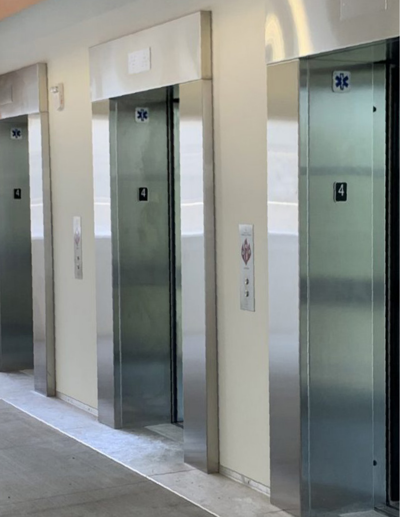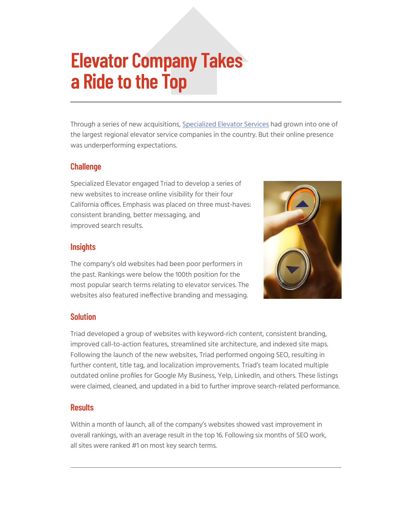# **Elevator Company Takes a Ride to the Top**

Through a series of new acquisitions, [Specialized Elevator Services](https://specializedelevator.com/) had grown into one of the largest regional elevator service companies in the country. But their online presence was underperforming expectations.

#### **Challenge**

Specialized Elevator engaged Triad to develop a series of new websites to increase online visibility for their four California offices. Emphasis was placed on three must-haves: consistent branding, better messaging, and improved search results.



#### **Insights**

The company's old websites had been poor performers in the past. Rankings were below the 100th position for the most popular search terms relating to elevator services. The websites also featured ineffective branding and messaging.

#### **Solution**

Triad developed a group of websites with keyword-rich content, consistent branding, improved call-to-action features, streamlined site architecture, and indexed site maps. Following the launch of the new websites, Triad performed ongoing SEO, resulting in further content, title tag, and localization improvements. Triad's team located multiple outdated online profiles for Google My Business, Yelp, LinkedIn, and others. These listings were claimed, cleaned, and updated in a bid to further improve search-related performance.

#### **Results**

Within a month of launch, all of the company's websites showed vast improvement in overall rankings, with an average result in the top 16. Following six months of SEO work, all sites were ranked #1 on most key search terms.